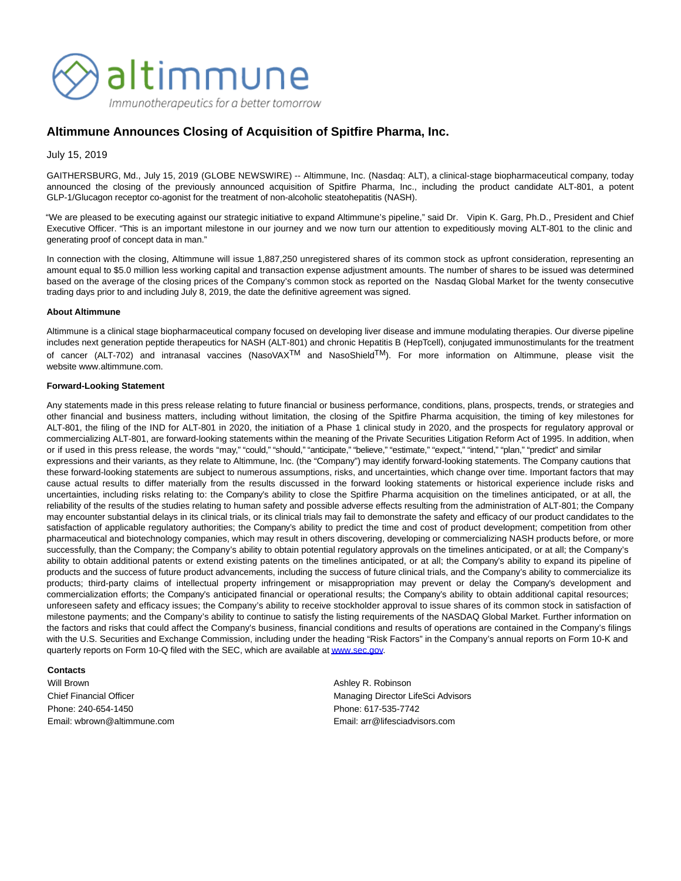

## **Altimmune Announces Closing of Acquisition of Spitfire Pharma, Inc.**

July 15, 2019

GAITHERSBURG, Md., July 15, 2019 (GLOBE NEWSWIRE) -- Altimmune, Inc. (Nasdaq: ALT), a clinical-stage biopharmaceutical company, today announced the closing of the previously announced acquisition of Spitfire Pharma, Inc., including the product candidate ALT-801, a potent GLP-1/Glucagon receptor co-agonist for the treatment of non-alcoholic steatohepatitis (NASH).

"We are pleased to be executing against our strategic initiative to expand Altimmune's pipeline," said Dr. Vipin K. Garg, Ph.D., President and Chief Executive Officer. "This is an important milestone in our journey and we now turn our attention to expeditiously moving ALT-801 to the clinic and generating proof of concept data in man."

In connection with the closing, Altimmune will issue 1,887,250 unregistered shares of its common stock as upfront consideration, representing an amount equal to \$5.0 million less working capital and transaction expense adjustment amounts. The number of shares to be issued was determined based on the average of the closing prices of the Company's common stock as reported on the Nasdaq Global Market for the twenty consecutive trading days prior to and including July 8, 2019, the date the definitive agreement was signed.

## **About Altimmune**

Altimmune is a clinical stage biopharmaceutical company focused on developing liver disease and immune modulating therapies. Our diverse pipeline includes next generation peptide therapeutics for NASH (ALT-801) and chronic Hepatitis B (HepTcell), conjugated immunostimulants for the treatment of cancer (ALT-702) and intranasal vaccines (NasoVAX<sup>TM</sup> and NasoShield<sup>TM</sup>). For more information on Altimmune, please visit the website www.altimmune.com.

## **Forward-Looking Statement**

Any statements made in this press release relating to future financial or business performance, conditions, plans, prospects, trends, or strategies and other financial and business matters, including without limitation, the closing of the Spitfire Pharma acquisition, the timing of key milestones for ALT-801, the filing of the IND for ALT-801 in 2020, the initiation of a Phase 1 clinical study in 2020, and the prospects for regulatory approval or commercializing ALT-801, are forward-looking statements within the meaning of the Private Securities Litigation Reform Act of 1995. In addition, when or if used in this press release, the words "may," "could," "should," "anticipate," "believe," "estimate," "expect," "intend," "plan," "predict" and similar expressions and their variants, as they relate to Altimmune, Inc. (the "Company") may identify forward-looking statements. The Company cautions that these forward-looking statements are subject to numerous assumptions, risks, and uncertainties, which change over time. Important factors that may cause actual results to differ materially from the results discussed in the forward looking statements or historical experience include risks and uncertainties, including risks relating to: the Company's ability to close the Spitfire Pharma acquisition on the timelines anticipated, or at all, the reliability of the results of the studies relating to human safety and possible adverse effects resulting from the administration of ALT-801; the Company may encounter substantial delays in its clinical trials, or its clinical trials may fail to demonstrate the safety and efficacy of our product candidates to the satisfaction of applicable regulatory authorities; the Company's ability to predict the time and cost of product development; competition from other pharmaceutical and biotechnology companies, which may result in others discovering, developing or commercializing NASH products before, or more successfully, than the Company; the Company's ability to obtain potential regulatory approvals on the timelines anticipated, or at all; the Company's ability to obtain additional patents or extend existing patents on the timelines anticipated, or at all; the Company's ability to expand its pipeline of products and the success of future product advancements, including the success of future clinical trials, and the Company's ability to commercialize its products; third-party claims of intellectual property infringement or misappropriation may prevent or delay the Company's development and commercialization efforts; the Company's anticipated financial or operational results; the Company's ability to obtain additional capital resources; unforeseen safety and efficacy issues; the Company's ability to receive stockholder approval to issue shares of its common stock in satisfaction of milestone payments; and the Company's ability to continue to satisfy the listing requirements of the NASDAQ Global Market. Further information on the factors and risks that could affect the Company's business, financial conditions and results of operations are contained in the Company's filings with the U.S. Securities and Exchange Commission, including under the heading "Risk Factors" in the Company's annual reports on Form 10-K and quarterly reports on Form 10-Q filed with the SEC, which are available a[t www.sec.gov.](http://www.sec.gov/)

## **Contacts**

Will Brown **Ashley R. Robinson Ashley R. Robinson** Phone: 240-654-1450 Phone: 617-535-7742 Email: wbrown@altimmune.com Email: arr@lifesciadvisors.com

Chief Financial Officer **Managing Director LifeSci Advisors** Managing Director LifeSci Advisors